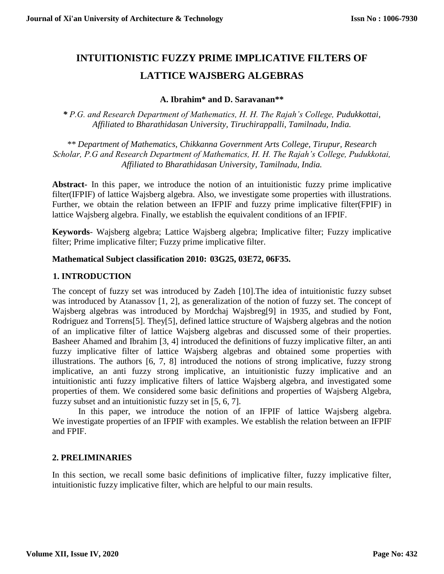# **INTUITIONISTIC FUZZY PRIME IMPLICATIVE FILTERS OF LATTICE WAJSBERG ALGEBRAS**

## **A. Ibrahim\* and D. Saravanan\*\***

*\* P.G. and Research Department of Mathematics, H. H. The Rajah's College, Pudukkottai, Affiliated to Bharathidasan University, Tiruchirappalli*, *Tamilnadu, India.* 

*\*\* Department of Mathematics, Chikkanna Government Arts College, Tirupur, Research Scholar, P.G and Research Department of Mathematics, H. H. The Rajah's College, Pudukkotai, Affiliated to Bharathidasan University, Tamilnadu, India.* 

**Abstract-** In this paper, we introduce the notion of an intuitionistic fuzzy prime implicative filter(IFPIF) of lattice Wajsberg algebra. Also, we investigate some properties with illustrations. Further, we obtain the relation between an IFPIF and fuzzy prime implicative filter(FPIF) in lattice Wajsberg algebra. Finally, we establish the equivalent conditions of an IFPIF.

**Keywords**- Wajsberg algebra; Lattice Wajsberg algebra; Implicative filter; Fuzzy implicative filter; Prime implicative filter; Fuzzy prime implicative filter.

#### **Mathematical Subject classification 2010: 03G25, 03E72, 06F35.**

## **1. INTRODUCTION**

The concept of fuzzy set was introduced by Zadeh [10].The idea of intuitionistic fuzzy subset was introduced by Atanassov [1, 2], as generalization of the notion of fuzzy set. The concept of Wajsberg algebras was introduced by Mordchaj Wajsbreg[9] in 1935, and studied by Font, Rodriguez and Torrens[5]. They[5], defined lattice structure of Wajsberg algebras and the notion of an implicative filter of lattice Wajsberg algebras and discussed some of their properties. Basheer Ahamed and Ibrahim [3, 4] introduced the definitions of fuzzy implicative filter, an anti fuzzy implicative filter of lattice Wajsberg algebras and obtained some properties with illustrations. The authors [6, 7, 8] introduced the notions of strong implicative, fuzzy strong implicative, an anti fuzzy strong implicative, an intuitionistic fuzzy implicative and an intuitionistic anti fuzzy implicative filters of lattice Wajsberg algebra, and investigated some properties of them. We considered some basic definitions and properties of Wajsberg Algebra, fuzzy subset and an intuitionistic fuzzy set in [5, 6, 7].

In this paper, we introduce the notion of an IFPIF of lattice Wajsberg algebra. We investigate properties of an IFPIF with examples. We establish the relation between an IFPIF and FPIF.

#### **2. PRELIMINARIES**

In this section, we recall some basic definitions of implicative filter, fuzzy implicative filter, intuitionistic fuzzy implicative filter, which are helpful to our main results.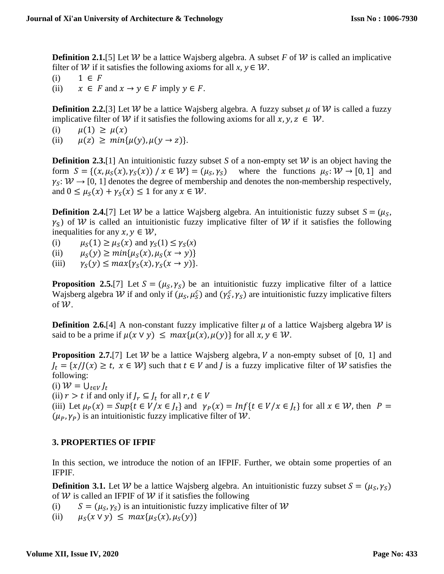**Definition 2.1.**[5] Let W be a lattice Wajsberg algebra. A subset *F* of W is called an implicative filter of *W* if it satisfies the following axioms for all *x*,  $y \in W$ .

(i)  $1 \in F$ 

(ii)  $x \in F$  and  $x \to y \in F$  imply  $y \in F$ .

**Definition 2.2.**[3] Let W be a lattice Wajsberg algebra. A fuzzy subset  $\mu$  of W is called a fuzzy implicative filter of W if it satisfies the following axioms for all  $x, y, z \in W$ .

(i)  $\mu(1) \ge \mu(x)$ 

(ii)  $\mu(z) \geq min\{\mu(y), \mu(y \to z)\}.$ 

**Definition 2.3.**[1] An intuitionistic fuzzy subset *S* of a non-empty set  $W$  is an object having the form  $S = \{(x, \mu_S(x), \gamma_S(x)) \mid x \in W\} = (\mu_S, \gamma_S)$  where the functions  $\mu_S : W \to [0, 1]$  and  $\gamma_S: \mathcal{W} \to [0, 1]$  denotes the degree of membership and denotes the non-membership respectively, and  $0 \leq \mu_S(x) + \gamma_S(x) \leq 1$  for any  $x \in \mathcal{W}$ .

**Definition 2.4.**[7] Let W be a lattice Wajsberg algebra. An intuitionistic fuzzy subset  $S = (\mu_S,$  $\gamma_s$ ) of W is called an intuitionistic fuzzy implicative filter of W if it satisfies the following inequalities for any  $x, y \in W$ ,

(i)  $\mu_S(1) \ge \mu_S(x)$  and  $\gamma_S(1) \le \gamma_S(x)$ 

(ii)  $\mu_S(y) \ge \min\{\mu_S(x), \mu_S(x \to y)\}\$ 

(iii)  $\gamma_s(y) \leq max\{\gamma_s(x), \gamma_s(x \to y)\}.$ 

**Proposition 2.5.**[7] Let  $S = (\mu_S, \gamma_S)$  be an intuitionistic fuzzy implicative filter of a lattice Wajsberg algebra W if and only if  $(\mu_S, \mu_S^c)$  and  $(\gamma_S^c, \gamma_S)$  are intuitionistic fuzzy implicative filters of  $W$ .

**Definition 2.6.**[4] A non-constant fuzzy implicative filter  $\mu$  of a lattice Wajsberg algebra *W* is said to be a prime if  $\mu(x \vee y) \leq \max{\mu(x), \mu(y)}$  for all  $x, y \in W$ .

**Proposition 2.7.**[7] Let  $W$  be a lattice Wajsberg algebra,  $V$  a non-empty subset of [0, 1] and  $J_t = \{x / J(x) \ge t, x \in W\}$  such that  $t \in V$  and *J* is a fuzzy implicative filter of *W* satisfies the following:

(i)  $W = \bigcup_{t \in V} J_t$ 

(ii)  $r > t$  if and only if  $J_r \subseteq J_t$  for all  $r, t \in V$ (iii) Let  $\mu_P(x) = \sup\{t \in V / x \in J_t\}$  and  $\gamma_P(x) = \inf\{t \in V / x \in J_t\}$  for all  $x \in W$ , then  $P =$  $(\mu_P, \gamma_P)$  is an intuitionistic fuzzy implicative filter of W.

# **3. PROPERTIES OF IFPIF**

In this section, we introduce the notion of an IFPIF. Further, we obtain some properties of an IFPIF.

**Definition 3.1.** Let W be a lattice Wajsberg algebra. An intuitionistic fuzzy subset  $S = (\mu_S, \gamma_S)$ of  $W$  is called an IFPIF of  $W$  if it satisfies the following

(i)  $S = (\mu_S, \gamma_S)$  is an intuitionistic fuzzy implicative filter of W

(ii)  $\mu_S(x \vee y) \leq max\{\mu_S(x), \mu_S(y)\}\$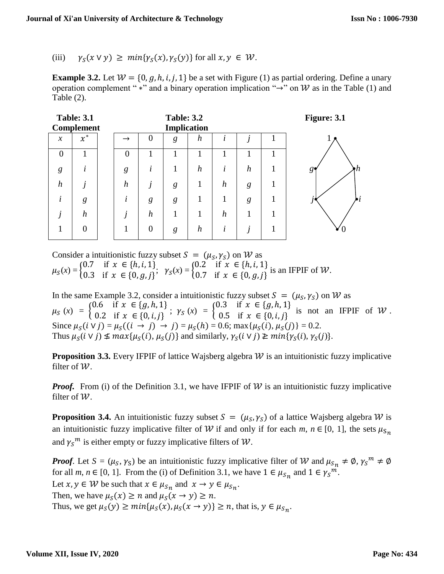## (iii)  $\gamma_s(x \vee y) \geq min\{\gamma_s(x), \gamma_s(y)\}\$ for all  $x, y \in W$ .

**Example 3.2.** Let  $W = \{0, g, h, i, j, 1\}$  be a set with Figure (1) as partial ordering. Define a unary operation complement " \*" and a binary operation implication " $\rightarrow$ " on W as in the Table (1) and Table (2).

| <b>Table: 3.1</b><br><b>Complement</b> |                  |  | <b>Table: 3.2</b><br><b>Implication</b> |                  |   |                  |                  |                  |  | Figure: 3.1              |
|----------------------------------------|------------------|--|-----------------------------------------|------------------|---|------------------|------------------|------------------|--|--------------------------|
| $\chi$                                 | $x^*$            |  | $\rightarrow$                           | $\overline{0}$   | g | $\boldsymbol{h}$ | i                |                  |  |                          |
| $\theta$                               | 1                |  | $\theta$                                | 1                |   | 1                | 1                |                  |  |                          |
| g                                      | $\dot{i}$        |  | g                                       | ٠<br>l           |   | $\boldsymbol{h}$ | i                | $\boldsymbol{h}$ |  | $\hbar$<br>$g_{\bullet}$ |
| $\boldsymbol{h}$                       | Ĵ                |  | $\boldsymbol{h}$                        | 1                | g | 1                | $\boldsymbol{h}$ | g                |  |                          |
| i                                      | g                |  | ٠<br>l                                  | g                | g | 1                |                  | g                |  | $\cdot i$<br>.,          |
| j                                      | $\boldsymbol{h}$ |  |                                         | $\boldsymbol{h}$ | 1 |                  | $\boldsymbol{h}$ |                  |  |                          |
|                                        | $\overline{0}$   |  |                                         | $\overline{0}$   | g | $\boldsymbol{h}$ | i                | $\mathbf{r}$     |  |                          |

Consider a intuitionistic fuzzy subset  $S = (\mu_S, \gamma_S)$  on W as  $\mu_S(x) = \begin{cases} 0.7 & \text{if } x \in \{h, i, 1\} \\ 0.3 & \text{if } x \in \{0, a, i\} \end{cases}$ 0.7 if  $x \in \{h, i, 1\}$ ,  $\gamma_S(x) = \begin{cases} 0.2 & \text{if } x \in \{h, i, 1\} \\ 0.7 & \text{if } x \in \{0, g, j\} \end{cases}$ 0.7 if  $x \in \{0, g, j\}$  is an IFPIF of W.

In the same Example 3.2, consider a intuitionistic fuzzy subset  $S = (\mu_S, \gamma_S)$  on W as  $\mu_S(x) = \begin{cases} 0.6 & \text{if } x \in \{g, h, 1\} \\ 0.2 & \text{if } x \in \{0, i, j\} \end{cases}$ 0.6 if  $x \in \{g, h, 1\}$ ;  $\gamma_s(x) = \begin{cases} 0.3 & \text{if } x \in \{g, h, 1\} \\ 0.5 & \text{if } x \in \{0, i, j\} \end{cases}$ 0.5 if  $x \in (0, i, j]$  is not an IFPIF of W. Since  $\mu_S(i \vee j) = \mu_S((i \rightarrow j) \rightarrow j) = \mu_S(h) = 0.6$ ; max $\{\mu_S(i), \mu_S(j)\} = 0.2$ . Thus  $\mu_S(i \vee j) \nleq max\{\mu_S(i), \mu_S(j)\}\$  and similarly,  $\gamma_S(i \vee j) \ngeq min\{\gamma_S(i), \gamma_S(j)\}.$ 

**Proposition 3.3.** Every IFPIF of lattice Wajsberg algebra  $W$  is an intuitionistic fuzzy implicative filter of  $W$ .

*Proof.* From (i) of the Definition 3.1, we have IFPIF of  $W$  is an intuitionistic fuzzy implicative filter of  $W$ .

**Proposition 3.4.** An intuitionistic fuzzy subset  $S = (\mu_S, \gamma_S)$  of a lattice Wajsberg algebra W is an intuitionistic fuzzy implicative filter of W if and only if for each  $m, n \in [0, 1]$ , the sets  $\mu_{S_n}$ and  $\gamma_s^m$  is either empty or fuzzy implicative filters of  $W$ .

*Proof.* Let  $S = (\mu_S, \gamma_S)$  be an intuitionistic fuzzy implicative filter of W and  $\mu_{S_n} \neq \emptyset$ ,  $\gamma_S^m \neq \emptyset$ for all *m*, *n*  $\in$  [0, 1]. From the (i) of Definition 3.1, we have  $1 \in \mu_{S_n}$  and  $1 \in \gamma_S^m$ . Let  $x, y \in W$  be such that  $x \in \mu_{S_n}$  and  $x \to y \in \mu_{S_n}$ . Then, we have  $\mu_S(x) \ge n$  and  $\mu_S(x \to y) \ge n$ . Thus, we get  $\mu_S(y) \ge \min{\mu_S(x), \mu_S(x \to y)} \ge n$ , that is,  $y \in \mu_{S_n}$ .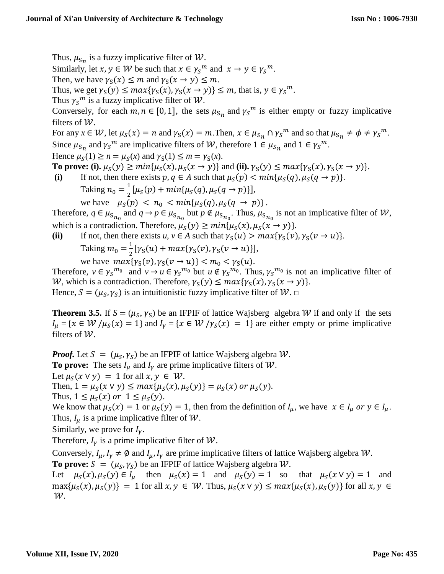Thus,  $\mu_{\mathsf{S}_n}$  is a fuzzy implicative filter of W.

Similarly, let  $x, y \in W$  be such that  $x \in \gamma_S^m$  and  $x \to y \in \gamma_S^m$ .

Then, we have  $\gamma_S(x) \leq m$  and  $\gamma_S(x \to y) \leq m$ .

Thus, we get  $\gamma_S(y) \leq max{\gamma_S(x), \gamma_S(x \to y)} \leq m$ , that is,  $y \in {\gamma_S}^m$ .

Thus  $\gamma_s^m$  is a fuzzy implicative filter of W.

Conversely, for each  $m, n \in [0, 1]$ , the sets  $\mu_{s_n}$  and  $\gamma_s^m$  is either empty or fuzzy implicative filters of  $W$ .

For any  $x \in W$ , let  $\mu_S(x) = n$  and  $\gamma_S(x) = m$ . Then,  $x \in \mu_{S_n} \cap \gamma_S^m$  and so that  $\mu_{S_n} \neq \phi \neq \gamma_S^m$ . Since  $\mu_{s_n}$  and  $\gamma_s^m$  are implicative filters of W, therefore  $1 \in \mu_{s_n}$  and  $1 \in \gamma_s^m$ .

Hence  $\mu_S(1) \ge n = \mu_S(x)$  and  $\gamma_S(1) \le m = \gamma_S(x)$ .

**To prove:** (i).  $\mu_S(y) \ge \min{\mu_S(x), \mu_S(x \to y)}$  and (ii).  $\gamma_S(y) \le \max{\gamma_S(x), \gamma_S(x \to y)}$ . (i) If not, then there exists  $p, q \in A$  such that  $\mu_S(p) < min{\mu_S(q), \mu_S(q \to p)}$ .

Taking  $n_0 = \frac{1}{2}$  $\frac{1}{2} [\mu_S(p) + min{\mu_S(q), \mu_S(q \to p)}],$ 

we have  $\mu_S(p) < n_0 < min{\mu_S(q), \mu_S(q \to p)}$ .

Therefore,  $q \in \mu_{s_{n_0}}$  and  $q \to p \in \mu_{s_{n_0}}$  but  $p \notin \mu_{s_{n_0}}$ . Thus,  $\mu_{s_{n_0}}$  is not an implicative filter of  $W$ , which is a contradiction. Therefore,  $\mu_{\mathcal{S}}(y) \ge \min{\mu_{\mathcal{S}}(x), \mu_{\mathcal{S}}(x \to y)}$ .

(ii) If not, then there exists *u*,  $v \in A$  such that  $\gamma_S(u) > max{\gamma_S(v), \gamma_S(v \to u)}$ .

Taking 
$$
m_0 = \frac{1}{2} [ \gamma_S(u) + \max\{\gamma_S(v), \gamma_S(v \to u)\}],
$$
, we have  $\max\{\gamma_S(v), \gamma_S(v \to u)\} < m_0 < \gamma_S(u).$ 

Therefore,  $v \in \gamma_S^{m_0}$  and  $v \to u \in \gamma_S^{m_0}$  but  $u \notin \gamma_S^{m_0}$ . Thus,  $\gamma_S^{m_0}$  is not an implicative filter of W, which is a contradiction. Therefore,  $\gamma_S(y) \leq max{\gamma_S(x), \gamma_S(x \to y)}$ .

Hence,  $S = (\mu_S, \gamma_S)$  is an intuitionistic fuzzy implicative filter of  $W$ .  $\Box$ 

**Theorem 3.5.** If  $S = (\mu_S, \gamma_S)$  be an IFPIF of lattice Wajsberg algebra W if and only if the sets  $I_u = \{ x \in W / \mu_S(x) = 1 \}$  and  $I_v = \{ x \in W / \gamma_S(x) = 1 \}$  are either empty or prime implicative filters of  $W$ .

*Proof.* Let  $S = (\mu_S, \gamma_S)$  be an IFPIF of lattice Wajsberg algebra  $W$ . **To prove:** The sets  $I_{\mu}$  and  $I_{\gamma}$  are prime implicative filters of  $W$ . Let  $\mu_{S}( x \vee y ) = 1$  for all  $x, y \in W$ . Then,  $1 = \mu_S(x \vee y) \le \max{\mu_S(x), \mu_S(y)} = \mu_S(x)$  or  $\mu_S(y)$ . Thus,  $1 \leq \mu_S(x)$  or  $1 \leq \mu_S(y)$ . We know that  $\mu_S(x) = 1$  or  $\mu_S(y) = 1$ , then from the definition of  $I_\mu$ , we have  $x \in I_\mu$  or  $y \in I_\mu$ . Thus,  $I_u$  is a prime implicative filter of W. Similarly, we prove for  $I_{\nu}$ .

Therefore,  $I_v$  is a prime implicative filter of W.

Conversely,  $I_{\mu}$ ,  $I_{\gamma} \neq \emptyset$  and  $I_{\mu}$ ,  $I_{\gamma}$  are prime implicative filters of lattice Wajsberg algebra W. **To prove:**  $S = (\mu_S, \gamma_S)$  be an IFPIF of lattice Wajsberg algebra  $W$ .

Let  $\mu_S(x), \mu_S(y) \in I_\mu$  then  $\mu_S(x) = 1$  and  $\mu_S(y) = 1$  so that  $\mu_S(x \vee y) = 1$  and  $max{\mu_S(x), \mu_S(y)} = 1$  for all  $x, y \in W$ . Thus,  $\mu_S(x \vee y) \le max{\mu_S(x), \mu_S(y)}$  for all  $x, y \in W$ .  $\mathcal W$ .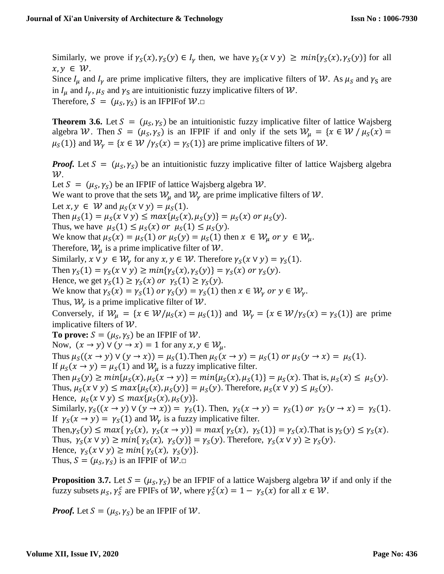Similarly, we prove if  $\gamma_s(x), \gamma_s(y) \in I_\nu$  then, we have  $\gamma_s(x \vee y) \geq min{\gamma_s(x), \gamma_s(y)}$  for all  $x, y \in W$ .

Since  $I_{\mu}$  and  $I_{\gamma}$  are prime implicative filters, they are implicative filters of W. As  $\mu_s$  and  $\gamma_s$  are in  $I_u$  and  $I_v$ ,  $\mu_s$  and  $\gamma_s$  are intuitionistic fuzzy implicative filters of W.

Therefore,  $S = (\mu_S, \gamma_S)$  is an IFPIFof  $W \square$ 

**Theorem 3.6.** Let  $S = (\mu_S, \gamma_S)$  be an intuitionistic fuzzy implicative filter of lattice Wajsberg algebra W. Then  $S = (\mu_S, \gamma_S)$  is an IFPIF if and only if the sets  $W_\mu = \{x \in W \mid \mu_S(x) =$  $\mu_S(1)$  and  $W_\nu = \{x \in \mathcal{W}/\gamma_S(x) = \gamma_S(1)\}\$  are prime implicative filters of W.

*Proof.* Let  $S = (\mu_S, \gamma_S)$  be an intuitionistic fuzzy implicative filter of lattice Wajsberg algebra  $\mathcal W$ . Let  $S = (\mu_S, \gamma_S)$  be an IFPIF of lattice Wajsberg algebra  $W$ . We want to prove that the sets  $W_u$  and  $W_v$  are prime implicative filters of W. Let  $x, y \in W$  and  $\mu_S(x \vee y) = \mu_S(1)$ . Then  $\mu_{\mathcal{S}}(1) = \mu_{\mathcal{S}}(x \vee y) \le \max{\mu_{\mathcal{S}}(x), \mu_{\mathcal{S}}(y)} = \mu_{\mathcal{S}}(x)$  or  $\mu_{\mathcal{S}}(y)$ . Thus, we have  $\mu_S(1) \leq \mu_S(x)$  or  $\mu_S(1) \leq \mu_S(y)$ . We know that  $\mu_S(x) = \mu_S(1)$  or  $\mu_S(y) = \mu_S(1)$  then  $x \in W_u$  or  $y \in W_u$ . Therefore,  $W_{\mu}$  is a prime implicative filter of W. Similarly,  $x \vee y \in W_x$  for any  $x, y \in W$ . Therefore  $\gamma_s(x \vee y) = \gamma_s(1)$ . Then  $\gamma_S(1) = \gamma_S(x \vee y) \ge \min{\gamma_S(x), \gamma_S(y)} = \gamma_S(x)$  or  $\gamma_S(y)$ . Hence, we get  $\gamma_s(1) \ge \gamma_s(x)$  or  $\gamma_s(1) \ge \gamma_s(y)$ . We know that  $\gamma_s(x) = \gamma_s(1)$  or  $\gamma_s(y) = \gamma_s(1)$  then  $x \in \mathcal{W}_v$  or  $y \in \mathcal{W}_v$ . Thus,  $W_{\nu}$  is a prime implicative filter of W. Conversely, if  $W_u = \{x \in W/\mu_S(x) = \mu_S(1)\}\$ and  $W_\gamma = \{x \in W/\gamma_S(x) = \gamma_S(1)\}\$ are prime implicative filters of  $W$ . **To prove:**  $S = (\mu_S, \gamma_S)$  be an IFPIF of W. Now,  $(x \rightarrow y) \vee (y \rightarrow x) = 1$  for any  $x, y \in W_u$ . Thus  $\mu_S((x \to y) \lor (y \to x)) = \mu_S(1)$ . Then  $\mu_S(x \to y) = \mu_S(1)$  or  $\mu_S(y \to x) = \mu_S(1)$ . If  $\mu_S(x \to y) = \mu_S(1)$  and  $\mathcal{W}_u$  is a fuzzy implicative filter. Then  $\mu_S(y) \ge \min{\mu_S(x), \mu_S(x \to y)} = \min{\mu_S(x), \mu_S(1)} = \mu_S(x)$ . That is,  $\mu_S(x) \le \mu_S(y)$ . Thus,  $\mu_S(x \vee y) \le \max{\mu_S(x), \mu_S(y)} = \mu_S(y)$ . Therefore,  $\mu_S(x \vee y) \le \mu_S(y)$ . Hence,  $\mu_S(x \vee y) \leq max{\mu_S(x), \mu_S(y)}$ . Similarly,  $\gamma_S((x \to y) \lor (y \to x)) = \gamma_S(1)$ . Then,  $\gamma_S(x \to y) = \gamma_S(1)$  or  $\gamma_S(y \to x) = \gamma_S(1)$ . If  $\gamma_s(x \to y) = \gamma_s(1)$  and  $W_\nu$  is a fuzzy implicative filter. Then,  $\gamma_S(y) \le \max{\gamma_S(x), \gamma_S(x \to y)} = \max{\gamma_S(x), \gamma_S(1)} = \gamma_S(x)$ . That is  $\gamma_S(y) \le \gamma_S(x)$ . Thus,  $\gamma_S(x \vee y) \ge \min{\gamma_S(x), \gamma_S(y)} = \gamma_S(y)$ . Therefore,  $\gamma_S(x \vee y) \ge \gamma_S(y)$ . Hence,  $\gamma_S(x \vee y) \ge \min{\gamma_S(x), \gamma_S(y)}$ . Thus,  $S = (\mu_S, \gamma_S)$  is an IFPIF of  $W \square$ 

**Proposition 3.7.** Let  $S = (\mu_S, \gamma_S)$  be an IFPIF of a lattice Wajsberg algebra W if and only if the fuzzy subsets  $\mu_S$ ,  $\gamma_S^c$  are FPIFs of W, where  $\gamma_S^c(x) = 1 - \gamma_S(x)$  for all  $x \in W$ .

*Proof.* Let  $S = (\mu_S, \gamma_S)$  be an IFPIF of W.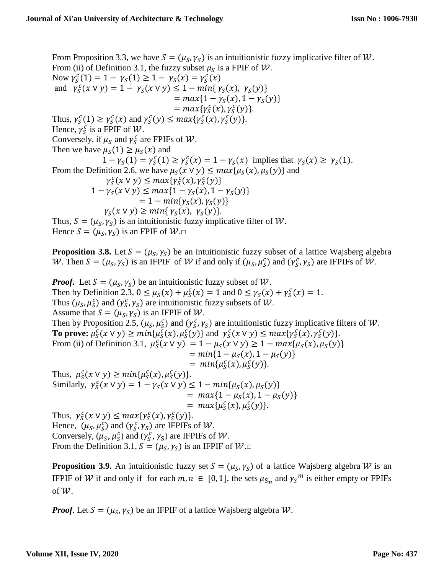From Proposition 3.3, we have  $S = (\mu_S, \gamma_S)$  is an intuitionistic fuzzy implicative filter of W. From (ii) of Definition 3.1, the fuzzy subset  $\mu_S$  is a FPIF of  $W$ . Now  $\gamma_S^c(1) = 1 - \gamma_S(1) \ge 1 - \gamma_S(x) = \gamma_S^c(x)$ and  $\gamma_S^c(x \vee y) = 1 - \gamma_S(x \vee y) \le 1 - \min{\gamma_S(x), \gamma_S(y)}$  $= max\{1 - \gamma_S(x), 1 - \gamma_S(y)\}\$  $= max{ \gamma_S^c(x), \gamma_S^c(y) }$ . Thus,  $\gamma_S^c(1) \ge \gamma_S^c(x)$  and  $\gamma_S^c(y) \le \max{\gamma_S^c(x), \gamma_S^c(y)}$ . Hence,  $\gamma_S^c$  is a FPIF of W. Conversely, if  $\mu_S$  and  $\gamma_S^c$  are FPIFs of W. Then we have  $\mu_S(1) \geq \mu_S(x)$  and  $1 - \gamma_S(1) = \gamma_S^c(1) \ge \gamma_S^c(x) = 1 - \gamma_S(x)$  implies that  $\gamma_S(x) \ge \gamma_S(1)$ . From the Definition 2.6, we have  $\mu_S(x \vee y) \leq max{\mu_S(x), \mu_S(y)}$  and  $\gamma_S^c(x \vee y) \leq max\{\gamma_S^c(x), \gamma_S^c(y)\}\$  $1 - \gamma_S(x \vee y) \leq max\{1 - \gamma_S(x), 1 - \gamma_S(y)\}\$  $= 1 - min{\gamma_s(x), \gamma_s(y)}$  $\gamma_S(x \vee y) \geq min\{\gamma_S(x), \gamma_S(y)\}.$ Thus,  $S = (\mu_S, \gamma_S)$  is an intuitionistic fuzzy implicative filter of W. Hence  $S = (\mu_S, \gamma_S)$  is an FPIF of  $W \square$ 

**Proposition 3.8.** Let  $S = (\mu_S, \gamma_S)$  be an intuitionistic fuzzy subset of a lattice Wajsberg algebra W. Then  $S = (\mu_S, \gamma_S)$  is an IFPIF of W if and only if  $(\mu_S, \mu_S^c)$  and  $(\gamma_S^c, \gamma_S)$  are IFPIFs of W.

*Proof.* Let  $S = (\mu_S, \gamma_S)$  be an intuitionistic fuzzy subset of W. Then by Definition 2.3,  $0 \le \mu_S(x) + \mu_S^c(x) = 1$  and  $0 \le \gamma_S(x) + \gamma_S^c(x) = 1$ . Thus  $(\mu_S, \mu_S^c)$  and  $(\gamma_S^c, \gamma_S)$  are intuitionistic fuzzy subsets of *W*. Assume that  $S = (\mu_S, \gamma_S)$  is an IFPIF of W. Then by Proposition 2.5,  $(\mu_S, \mu_S^c)$  and  $(\gamma_S^c, \gamma_S)$  are intuitionistic fuzzy implicative filters of W. **To prove:**  $\mu_S^c(x \vee y) \ge \min\{\mu_S^c(x), \mu_S^c(y)\}\$ and  $\gamma_S^c(x \vee y) \le \max\{\gamma_S^c(x), \gamma_S^c(y)\}.$ From (ii) of Definition 3.1,  $\mu_S^c(x \vee y) = 1 - \mu_S(x \vee y) \ge 1 - \max{\mu_S(x), \mu_S(y)}$  $= min\{1 - \mu_S(x), 1 - \mu_S(y)\}\$  $= min{\mu_S^c(x), \mu_S^c(y)}$ . Thus,  $\mu_S^c(x \vee y) \geq min\{\mu_S^c(x), \mu_S^c(y)\}.$ Similarly,  $\gamma_S^c(x \vee y) = 1 - \gamma_S(x \vee y) \le 1 - \min{\{\mu_S(x), \mu_S(y)\}}$  $= max\{1 - \mu_s(x), 1 - \mu_s(y)\}\$  $= max{\mu_S^c(x), \mu_S^c(y)}$ . Thus,  $\gamma_S^c(x \vee y) \leq max\{\gamma_S^c(x), \gamma_S^c(y)\}.$ Hence,  $(\mu_S, \mu_S^c)$  and  $(\gamma_S^c, \gamma_S)$  are IFPIFs of W. Conversely,  $(\mu_S, \mu_S^c)$  and  $(\gamma_S^c, \gamma_S)$  are IFPIFs of  $W$ . From the Definition 3.1,  $S = (\mu_S, \gamma_S)$  is an IFPIF of  $W \square$ 

**Proposition 3.9.** An intuitionistic fuzzy set  $S = (\mu_S, \gamma_S)$  of a lattice Wajsberg algebra W is an IFPIF of W if and only if for each  $m, n \in [0, 1]$ , the sets  $\mu_{s_n}$  and  $\gamma_s^m$  is either empty or FPIFs of  $W$ .

*Proof.* Let  $S = (\mu_S, \gamma_S)$  be an IFPIF of a lattice Wajsberg algebra  $W$ .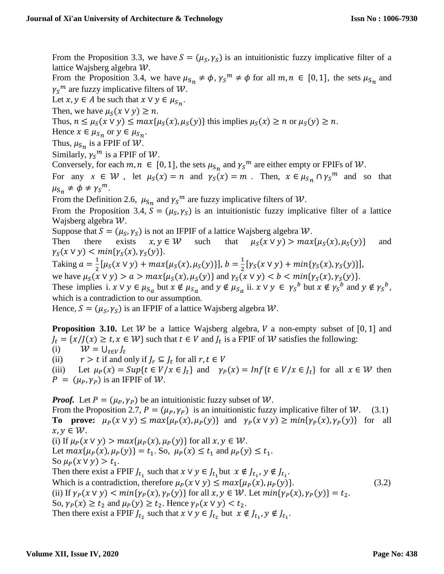From the Proposition 3.3, we have  $S = (\mu_S, \gamma_S)$  is an intuitionistic fuzzy implicative filter of a lattice Wajsberg algebra  $W$ .

From the Proposition 3.4, we have  $\mu_{s_n} \neq \phi$ ,  $\gamma_s^m \neq \phi$  for all  $m, n \in [0, 1]$ , the sets  $\mu_{s_n}$  and  $\gamma_S^m$  are fuzzy implicative filters of  $W$ .

Let  $x, y \in A$  be such that  $x \vee y \in \mu_{S_n}$ .

Then, we have  $\mu_S(x \vee y) \geq n$ .

Thus,  $n \leq \mu_S(x \vee y) \leq \max{\mu_S(x), \mu_S(y)}$  this implies  $\mu_S(x) \geq n$  or  $\mu_S(y) \geq n$ .

Hence  $x \in \mu_{S_n}$  or  $y \in \mu_{S_n}$ .

Thus,  $\mu_{\mathsf{S}_n}$  is a FPIF of  $\mathcal W$ .

Similarly,  $\gamma_S^m$  is a FPIF of  $\mathcal W$ .

Conversely, for each  $m, n \in [0, 1]$ , the sets  $\mu_{s_n}$  and  $\gamma_s^m$  are either empty or FPIFs of W.

For any  $x \in W$ , let  $\mu_S(x) = n$  and  $\gamma_S(x) = m$ . Then,  $x \in \mu_{S_n} \cap \gamma_S^m$  and so that  $\mu_{\text{S}_n} \neq \phi \neq \gamma_{\text{S}}^m$ .

From the Definition 2.6,  $\mu_{s_n}$  and  $\gamma_s^m$  are fuzzy implicative filters of W.

From the Proposition 3.4,  $S = (\mu_S, \gamma_S)$  is an intuitionistic fuzzy implicative filter of a lattice Wajsberg algebra  $W$ .

Suppose that  $S = (\mu_S, \gamma_S)$  is not an IFPIF of a lattice Wajsberg algebra W.

Then there exists  $x, y \in W$  such that  $\mu_S(x \vee y) > max{\mu_S(x), \mu_S(y)}$  and  $\gamma_S(x \vee y) < min\{\gamma_S(x), \gamma_S(y)\}.$ 

Taking  $a = \frac{1}{2}$  $\frac{1}{2}[\mu_S(x \vee y) + max{\mu_S(x), \mu_S(y)}], b = \frac{1}{2}$  $\frac{1}{2} [\gamma_S(x \vee y) + min{\gamma_S(x), \gamma_S(y)}],$ we have  $\mu_S(x \vee y) > a > max{\mu_S(x), \mu_S(y)}$  and  $\gamma_S(x \vee y) < b < min{\gamma_S(x), \gamma_S(y)}$ .

These implies i.  $x \vee y \in \mu_{S_a}$  but  $x \notin \mu_{S_a}$  and  $y \notin \mu_{S_a}$  ii.  $x \vee y \in \gamma_S^b$  but  $x \notin \gamma_S^b$  and  $y \notin \gamma_S^b$ ,

which is a contradiction to our assumption.

Hence,  $S = (\mu_S, \gamma_S)$  is an IFPIF of a lattice Wajsberg algebra W.

**Proposition 3.10.** Let W be a lattice Wajsberg algebra, V a non-empty subset of [0, 1] and  $J_t = \{x / J(x) \ge t, x \in W\}$  such that  $t \in V$  and  $J_t$  is a FPIF of W satisfies the following: (i)  $W = U_{t \in V} I_t$ 

(ii)  $r > t$  if and only if  $J_r \subseteq J_t$  for all  $r, t \in V$ 

(iii) Let  $\mu_P(x) = Sup\{t \in V/x \in J_t\}$  and  $\gamma_P(x) = Inf\{t \in V/x \in J_t\}$  for all  $x \in W$  then  $P = (\mu_P, \gamma_P)$  is an IFPIF of W.

*Proof.* Let  $P = (\mu_P, \gamma_P)$  be an intuitionistic fuzzy subset of W.

From the Proposition 2.7,  $P = (\mu_P, \gamma_P)$  is an intuitionistic fuzzy implicative filter of W. (3.1) **To prove:**  $\mu_P(x \vee y) \le \max\{\mu_P(x), \mu_P(y)\}\$ and  $\gamma_P(x \vee y) \ge \min\{\gamma_P(x), \gamma_P(y)\}\$  for all  $x, y \in W$ . (i) If  $\mu_P(x \vee y) > max{\mu_P(x), \mu_P(y)}$  for all  $x, y \in W$ . Let  $max{\mu_P(x), \mu_P(y)} = t_1$ . So,  $\mu_P(x) \le t_1$  and  $\mu_P(y) \le t_1$ . So  $\mu_P(x \vee y) > t_1$ . Then there exist a FPIF  $J_{t_1}$  such that  $x \vee y \in J_{t_1}$  but  $x \notin J_{t_1}$ ,  $y \notin J_{t_1}$ . Which is a contradiction, therefore  $\mu_P(x \vee y) \le \max{\mu_P(x), \mu_P(y)}$ . (3.2) (ii) If  $\gamma_P(x \vee y) < min{\gamma_P(x), \gamma_P(y)}$  for all  $x, y \in W$ . Let  $min{\gamma_P(x), \gamma_P(y)} = t_2$ . So,  $\gamma_P(x) \ge t_2$  and  $\mu_P(y) \ge t_2$ . Hence  $\gamma_P(x \vee y) < t_2$ . Then there exist a FPIF  $J_{t_2}$  such that  $x \vee y \in J_{t_2}$  but  $x \notin J_{t_1}$ ,  $y \notin J_{t_1}$ .